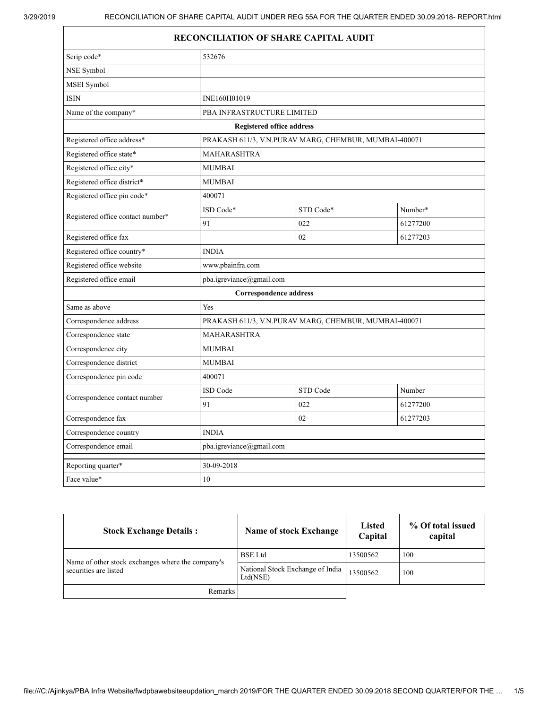## RECONCILIATION OF SHARE CAPITAL AUDIT

| Scrip code*                       | 532676                                                |           |          |
|-----------------------------------|-------------------------------------------------------|-----------|----------|
| NSE Symbol                        |                                                       |           |          |
| MSEI Symbol                       |                                                       |           |          |
| <b>ISIN</b>                       | INE160H01019                                          |           |          |
| Name of the company*              | PBA INFRASTRUCTURE LIMITED                            |           |          |
| <b>Registered office address</b>  |                                                       |           |          |
| Registered office address*        | PRAKASH 611/3, V.N.PURAV MARG, CHEMBUR, MUMBAI-400071 |           |          |
| Registered office state*          | <b>MAHARASHTRA</b>                                    |           |          |
| Registered office city*           | <b>MUMBAI</b>                                         |           |          |
| Registered office district*       | <b>MUMBAI</b>                                         |           |          |
| Registered office pin code*       | 400071                                                |           |          |
| Registered office contact number* | ISD Code*                                             | STD Code* | Number*  |
|                                   | 91                                                    | 022       | 61277200 |
| Registered office fax             |                                                       | 02        | 61277203 |
| Registered office country*        | <b>INDIA</b>                                          |           |          |
| Registered office website         | www.pbainfra.com                                      |           |          |
| Registered office email           | pba.igreviance@gmail.com                              |           |          |
|                                   | <b>Correspondence address</b>                         |           |          |
| Same as above                     | Yes                                                   |           |          |
| Correspondence address            | PRAKASH 611/3, V.N.PURAV MARG, CHEMBUR, MUMBAI-400071 |           |          |
| Correspondence state              | <b>MAHARASHTRA</b>                                    |           |          |
| Correspondence city               | <b>MUMBAI</b>                                         |           |          |
| Correspondence district           | <b>MUMBAI</b>                                         |           |          |
| Correspondence pin code           | 400071                                                |           |          |
| Correspondence contact number     | <b>ISD</b> Code                                       | STD Code  | Number   |
|                                   | 91                                                    | 022       | 61277200 |
| Correspondence fax                |                                                       | 02        | 61277203 |
| Correspondence country            | <b>INDIA</b>                                          |           |          |
| Correspondence email              | pba.igreviance@gmail.com                              |           |          |
| Reporting quarter*                | 30-09-2018                                            |           |          |
| Face value*                       | 10                                                    |           |          |

| <b>Stock Exchange Details:</b>                                             | <b>Name of stock Exchange</b>                | <b>Listed</b><br>Capital | % Of total issued<br>capital |
|----------------------------------------------------------------------------|----------------------------------------------|--------------------------|------------------------------|
|                                                                            | <b>BSE</b> Ltd                               | 13500562                 | 100                          |
| Name of other stock exchanges where the company's<br>securities are listed | National Stock Exchange of India<br>Ltd(NSE) | 13500562                 | 100                          |
| Remarks                                                                    |                                              |                          |                              |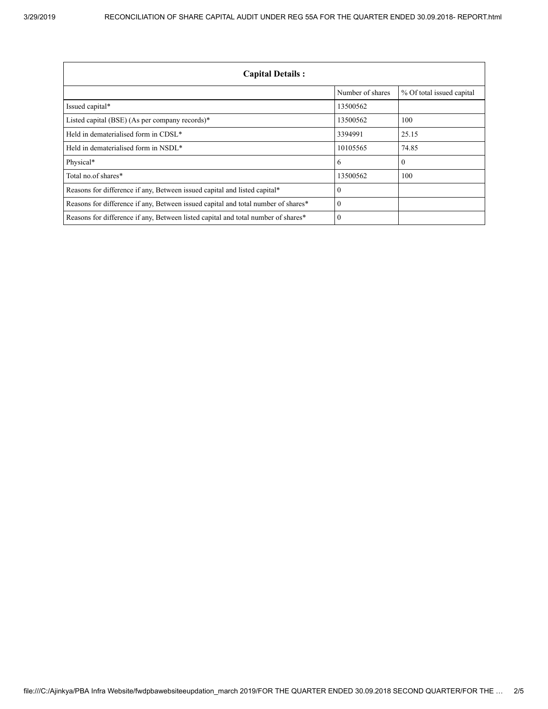| <b>Capital Details:</b>                                                           |                  |                           |  |
|-----------------------------------------------------------------------------------|------------------|---------------------------|--|
|                                                                                   | Number of shares | % Of total issued capital |  |
| Issued capital*                                                                   | 13500562         |                           |  |
| Listed capital (BSE) (As per company records)*                                    | 13500562         | 100                       |  |
| Held in dematerialised form in CDSL <sup>*</sup>                                  | 3394991          | 25.15                     |  |
| Held in dematerialised form in NSDL*                                              | 10105565         | 74.85                     |  |
| Physical*                                                                         | 6                | $\mathbf{0}$              |  |
| Total no.of shares*                                                               | 13500562         | 100                       |  |
| Reasons for difference if any, Between issued capital and listed capital*         | $\theta$         |                           |  |
| Reasons for difference if any, Between issued capital and total number of shares* | $\Omega$         |                           |  |
| Reasons for difference if any, Between listed capital and total number of shares* | $\Omega$         |                           |  |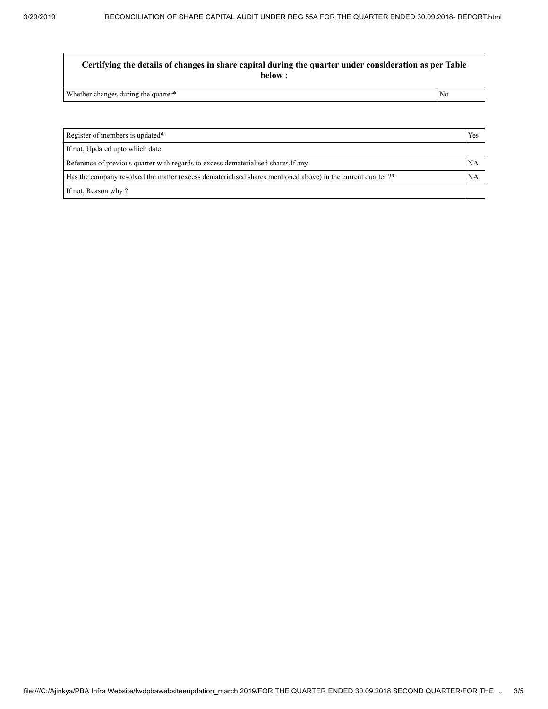Certifying the details of changes in share capital during the quarter under consideration as per Table below :

Whether changes during the quarter\* No

Register of members is updated\* Yes If not, Updated upto which date Reference of previous quarter with regards to excess dematerialised shares, If any. NA Has the company resolved the matter (excess dematerialised shares mentioned above) in the current quarter ?\* NA If not, Reason why ?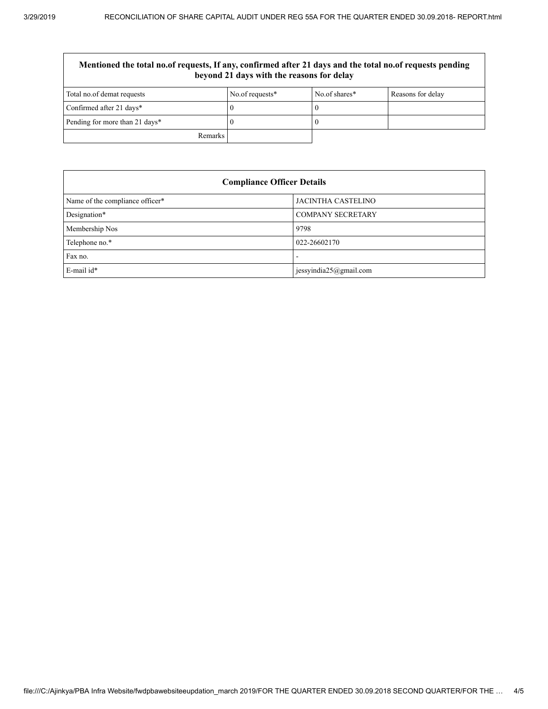| Mentioned the total no.of requests, If any, confirmed after 21 days and the total no.of requests pending<br>beyond 21 days with the reasons for delay |                 |               |                   |
|-------------------------------------------------------------------------------------------------------------------------------------------------------|-----------------|---------------|-------------------|
| Total no.of demat requests                                                                                                                            | No.of requests* | No of shares* | Reasons for delay |
| Confirmed after 21 days*                                                                                                                              |                 |               |                   |
| Pending for more than 21 days*                                                                                                                        |                 |               |                   |
| Remarks                                                                                                                                               |                 |               |                   |

| <b>Compliance Officer Details</b> |                           |  |
|-----------------------------------|---------------------------|--|
| Name of the compliance officer*   | <b>JACINTHA CASTELINO</b> |  |
| Designation*                      | <b>COMPANY SECRETARY</b>  |  |
| Membership Nos                    | 9798                      |  |
| Telephone no.*                    | 022-26602170              |  |
| Fax no.                           | -                         |  |
| E-mail id*                        | jessyindia25@gmail.com    |  |